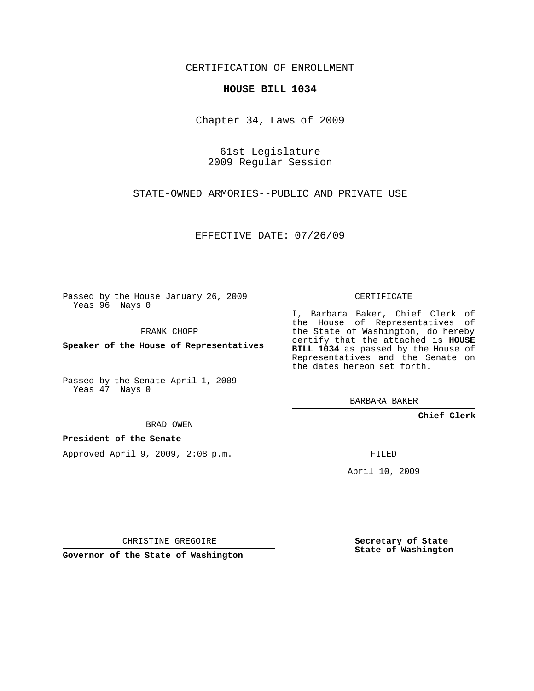CERTIFICATION OF ENROLLMENT

## **HOUSE BILL 1034**

Chapter 34, Laws of 2009

61st Legislature 2009 Regular Session

STATE-OWNED ARMORIES--PUBLIC AND PRIVATE USE

EFFECTIVE DATE: 07/26/09

Passed by the House January 26, 2009 Yeas 96 Nays 0

FRANK CHOPP

**Speaker of the House of Representatives**

Passed by the Senate April 1, 2009 Yeas 47 Nays 0

BRAD OWEN

## **President of the Senate**

Approved April 9, 2009, 2:08 p.m.

CERTIFICATE

I, Barbara Baker, Chief Clerk of the House of Representatives of the State of Washington, do hereby certify that the attached is **HOUSE BILL 1034** as passed by the House of Representatives and the Senate on the dates hereon set forth.

BARBARA BAKER

**Chief Clerk**

FILED

April 10, 2009

CHRISTINE GREGOIRE

**Governor of the State of Washington**

**Secretary of State State of Washington**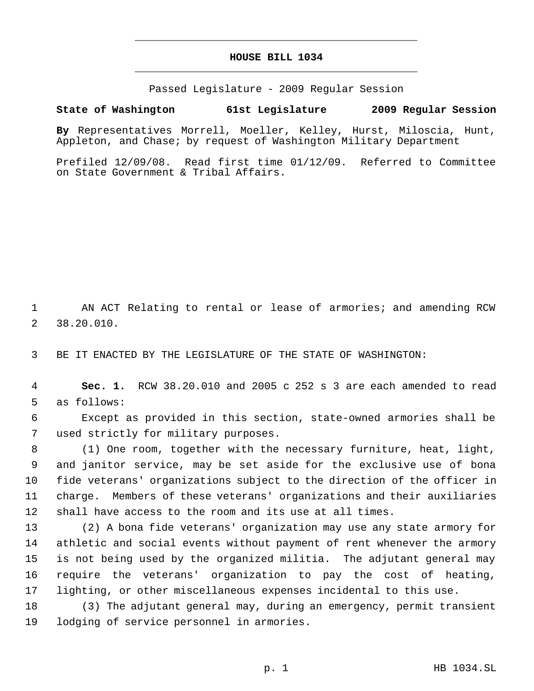## **HOUSE BILL 1034** \_\_\_\_\_\_\_\_\_\_\_\_\_\_\_\_\_\_\_\_\_\_\_\_\_\_\_\_\_\_\_\_\_\_\_\_\_\_\_\_\_\_\_\_\_

\_\_\_\_\_\_\_\_\_\_\_\_\_\_\_\_\_\_\_\_\_\_\_\_\_\_\_\_\_\_\_\_\_\_\_\_\_\_\_\_\_\_\_\_\_

Passed Legislature - 2009 Regular Session

## **State of Washington 61st Legislature 2009 Regular Session**

**By** Representatives Morrell, Moeller, Kelley, Hurst, Miloscia, Hunt, Appleton, and Chase; by request of Washington Military Department

Prefiled 12/09/08. Read first time 01/12/09. Referred to Committee on State Government & Tribal Affairs.

 AN ACT Relating to rental or lease of armories; and amending RCW 38.20.010.

BE IT ENACTED BY THE LEGISLATURE OF THE STATE OF WASHINGTON:

 **Sec. 1.** RCW 38.20.010 and 2005 c 252 s 3 are each amended to read as follows:

 Except as provided in this section, state-owned armories shall be used strictly for military purposes.

 (1) One room, together with the necessary furniture, heat, light, and janitor service, may be set aside for the exclusive use of bona fide veterans' organizations subject to the direction of the officer in charge. Members of these veterans' organizations and their auxiliaries shall have access to the room and its use at all times.

 (2) A bona fide veterans' organization may use any state armory for athletic and social events without payment of rent whenever the armory is not being used by the organized militia. The adjutant general may require the veterans' organization to pay the cost of heating, lighting, or other miscellaneous expenses incidental to this use.

 (3) The adjutant general may, during an emergency, permit transient lodging of service personnel in armories.